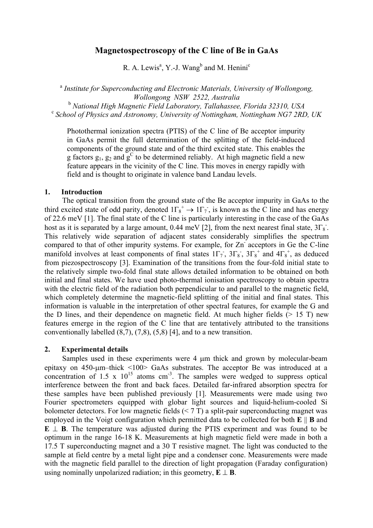# **Magnetospectroscopy of the C line of Be in GaAs**

R. A. Lewis<sup>a</sup>, Y.-J. Wang<sup>b</sup> and M. Henini<sup>c</sup>

<sup>a</sup> *Institute for Superconducting and Electronic Materials, University of Wollongong, Wollongong NSW 2522, Australia* 

<sup>b</sup> *National High Magnetic Field Laboratory, Tallahassee, Florida 32310, USA*<br><sup>c</sup> *School of Physics and Astronomy, University of Nottingham, Nottingham NG7 2RD, UK* 

Photothermal ionization spectra (PTIS) of the C line of Be acceptor impurity in GaAs permit the full determination of the splitting of the field-induced components of the ground state and of the third excited state. This enables the g factors  $g_1$ ,  $g_2$  and  $g^C$  to be determined reliably. At high magnetic field a new  $\frac{1}{2}$  feature appears in the vicinity of the C line. This moves in energy rapidly with field and is thought to originate in valence band Landau levels.

## **1. Introduction**

 The optical transition from the ground state of the Be acceptor impurity in GaAs to the third excited state of odd parity, denoted  $1\Gamma_8^+ \rightarrow 1\Gamma_7$ , is known as the C line and has energy of 22.6 meV [1]. The final state of the C line is particularly interesting in the case of the GaAs host as it is separated by a large amount, 0.44 meV [2], from the next nearest final state,  $3\Gamma_8$ . This relatively wide separation of adjacent states considerably simplifies the spectrum compared to that of other impurity systems. For example, for Zn- acceptors in Ge the C-line manifold involves at least components of final states  $1\Gamma_7$ ,  $3\Gamma_8$ ,  $3\Gamma_8^+$  and  $4\Gamma_8^+$ , as deduced from piezospectroscopy [3]. Examination of the transitions from the four-fold initial state to the relatively simple two-fold final state allows detailed information to be obtained on both initial and final states. We have used photo-thermal ionisation spectroscopy to obtain spectra with the electric field of the radiation both perpendicular to and parallel to the magnetic field, which completely determine the magnetic-field splitting of the initial and final states. This information is valuable in the interpretation of other spectral features, for example the G and the D lines, and their dependence on magnetic field. At much higher fields  $(> 15 \text{ T})$  new features emerge in the region of the C line that are tentatively attributed to the transitions conventionally labelled (8,7), (7,8), (5,8) [4], and to a new transition.

## **2. Experimental details**

Samples used in these experiments were 4  $\mu$ m thick and grown by molecular-beam epitaxy on 450-um–thick <100> GaAs substrates. The acceptor Be was introduced at a concentration of 1.5 x  $10^{15}$  atoms cm<sup>-3</sup>. The samples were wedged to suppress optical interference between the front and back faces. Detailed far-infrared absorption spectra for these samples have been published previously [1]. Measurements were made using two Fourier spectrometers equipped with globar light sources and liquid-helium-cooled Si bolometer detectors. For low magnetic fields  $(< 7 T)$  a split-pair superconducting magnet was employed in the Voigt configuration which permitted data to be collected for both **E** || **B** and **E** ⊥ **B**. The temperature was adjusted during the PTIS experiment and was found to be optimum in the range 16-18 K. Measurements at high magnetic field were made in both a 17.5 T superconducting magnet and a 30 T resistive magnet. The light was conducted to the sample at field centre by a metal light pipe and a condenser cone. Measurements were made with the magnetic field parallel to the direction of light propagation (Faraday configuration) using nominally unpolarized radiation; in this geometry,  $E \perp B$ .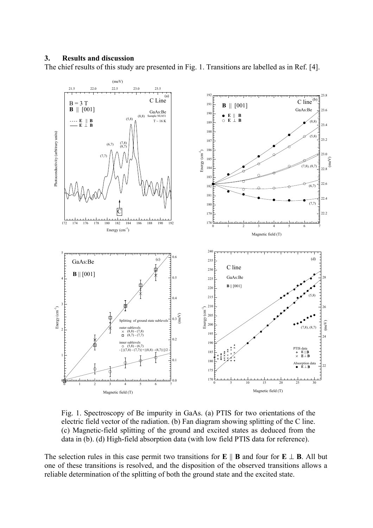## **3. Results and discussion**

The chief results of this study are presented in Fig. 1. Transitions are labelled as in Ref. [4].



Fig. 1. Spectroscopy of Be impurity in GaAs. (a) PTIS for two orientations of the electric field vector of the radiation. (b) Fan diagram showing splitting of the C line. (c) Magnetic-field splitting of the ground and excited states as deduced from the data in (b). (d) High-field absorption data (with low field PTIS data for reference).

The selection rules in this case permit two transitions for **E**  $\parallel$  **B** and four for **E**  $\perp$  **B**. All but one of these transitions is resolved, and the disposition of the observed transitions allows a reliable determination of the splitting of both the ground state and the excited state.